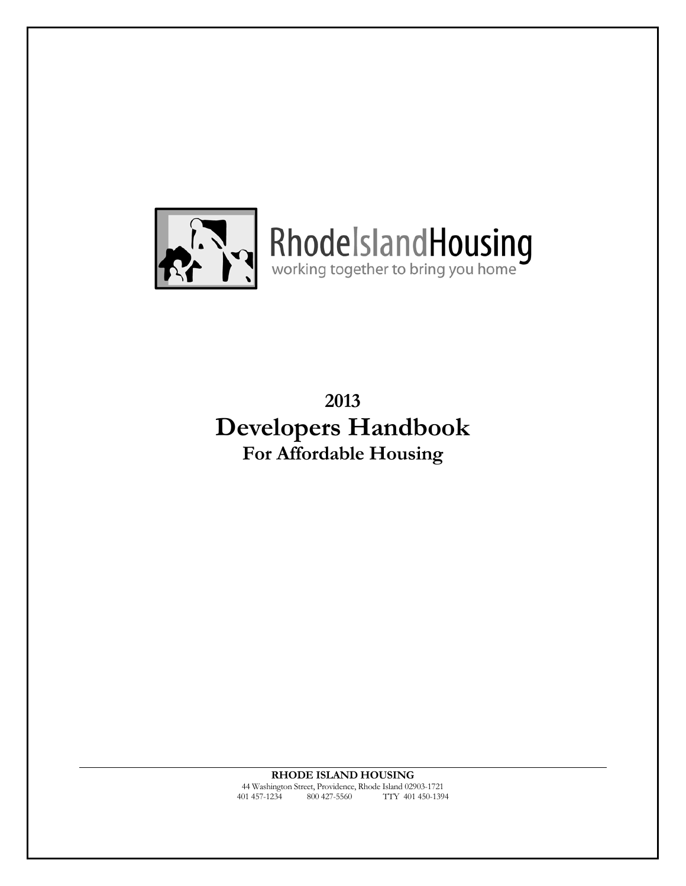

RhodelslandHousing

**2013 Developers Handbook For Affordable Housing** 

**RHODE ISLAND HOUSING**  44 Washington Street, Providence, Rhode Island 02903-1721 401 457-1234 800 427-5560 TTY 401 450-1394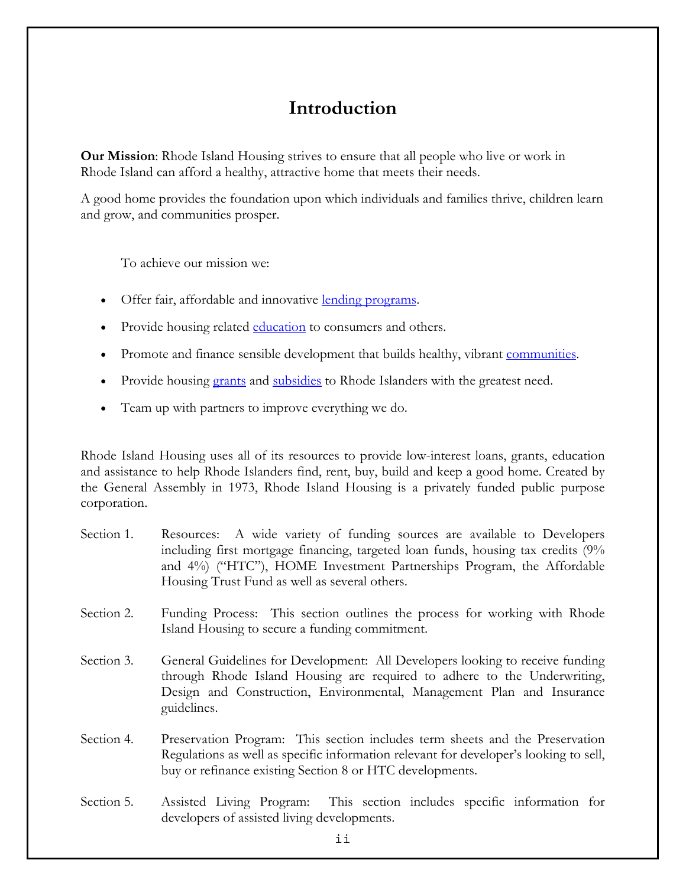## **Introduction**

**Our Mission**: Rhode Island Housing strives to ensure that all people who live or work in Rhode Island can afford a healthy, attractive home that meets their needs.

A good home provides the foundation upon which individuals and families thrive, children learn and grow, and communities prosper.

To achieve our mission we:

- Offer fair, affordable and innovative [lending programs.](http://www.rhodeislandhousing.org/sp.cfm?pageid=417)
- Provide housing related [education](http://www.rhodeislandhousing.org/sp.cfm?pageid=501) to consumers and others.
- Promote and finance sensible development that builds healthy, vibrant [communities.](http://www.keepspace.org/)
- Provide housing [grants](http://www.rhodeislandhousing.org/sp.cfm?pageid=418) and [subsidies](http://www.rhodeislandhousing.org/sp.cfm?pageid=418) to Rhode Islanders with the greatest need.
- Team up with partners to improve everything we do.

Rhode Island Housing uses all of its resources to provide low-interest loans, grants, education and assistance to help Rhode Islanders find, rent, buy, build and keep a good home. Created by the General Assembly in 1973, Rhode Island Housing is a privately funded public purpose corporation.

- Section 1. Resources: A wide variety of funding sources are available to Developers including first mortgage financing, targeted loan funds, housing tax credits (9% and 4%) ("HTC"), HOME Investment Partnerships Program, the Affordable Housing Trust Fund as well as several others.
- Section 2. Funding Process: This section outlines the process for working with Rhode Island Housing to secure a funding commitment.
- Section 3. General Guidelines for Development: All Developers looking to receive funding through Rhode Island Housing are required to adhere to the Underwriting, Design and Construction, Environmental, Management Plan and Insurance guidelines.
- Section 4. Preservation Program: This section includes term sheets and the Preservation Regulations as well as specific information relevant for developer's looking to sell, buy or refinance existing Section 8 or HTC developments.
- Section 5. Assisted Living Program: This section includes specific information for developers of assisted living developments.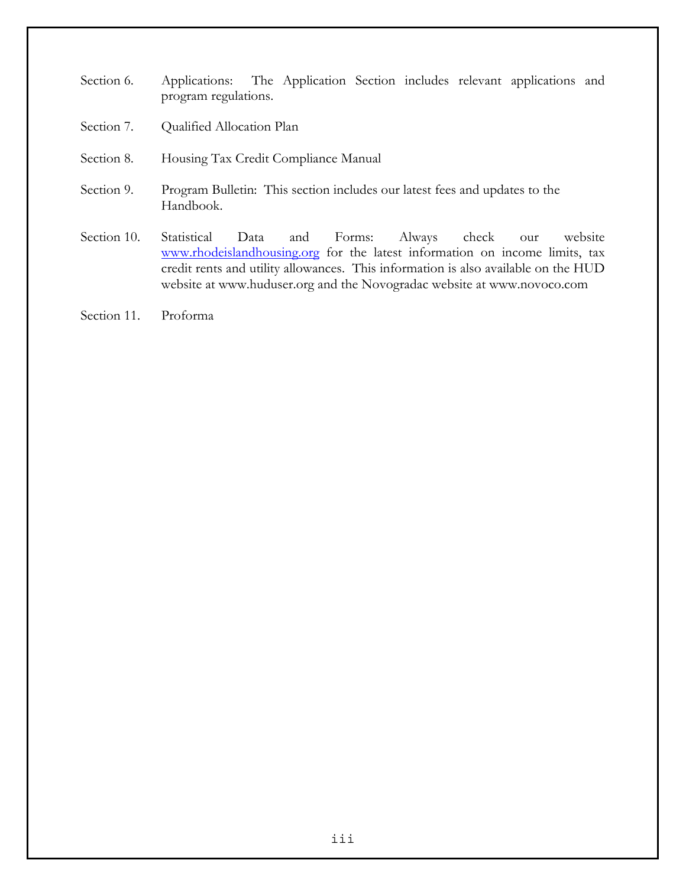- Section 6. Applications: The Application Section includes relevant applications and program regulations.
- Section 7. Qualified Allocation Plan
- Section 8. Housing Tax Credit Compliance Manual
- Section 9. Program Bulletin: This section includes our latest fees and updates to the Handbook.
- Section 10. Statistical Data and Forms: Always check our website [www.rhodeislandhousing.org](http://www.rhodeislandhousing.org/) for the latest information on income limits, tax credit rents and utility allowances. This information is also available on the HUD website at [www.huduser.org](http://www.huduser.org/) and the Novogradac website at [www.novoco.com](http://www.novoco.com/)
- Section 11. Proforma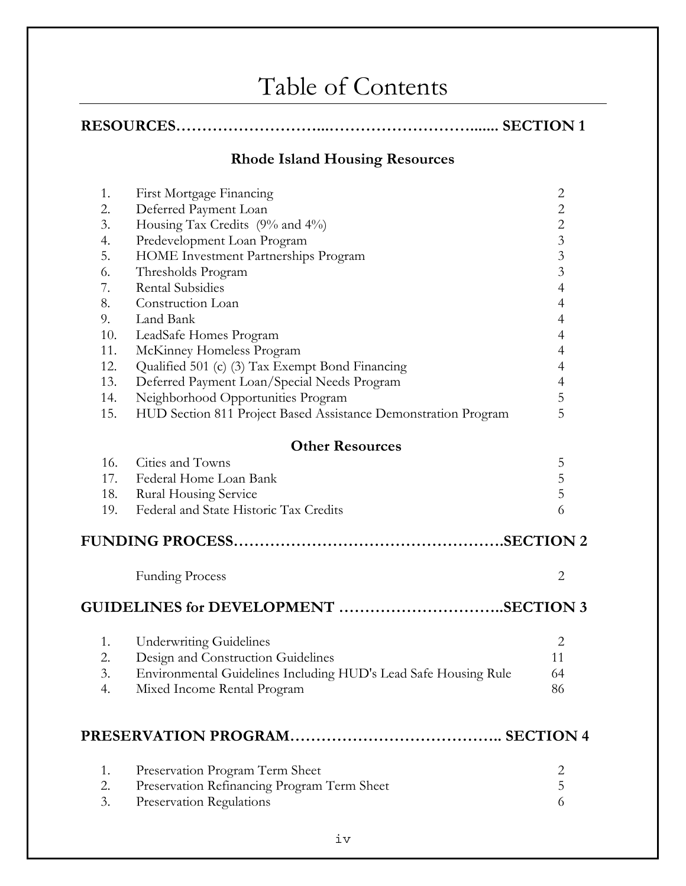## Table of Contents

|--|--|

## **Rhode Island Housing Resources**

| 1.  | First Mortgage Financing                                        | $\overline{c}$          |
|-----|-----------------------------------------------------------------|-------------------------|
| 2.  | Deferred Payment Loan                                           | $\overline{c}$          |
| 3.  | Housing Tax Credits (9% and 4%)                                 | $\overline{c}$          |
| 4.  | Predevelopment Loan Program                                     | $\overline{\mathbf{3}}$ |
| 5.  | HOME Investment Partnerships Program                            | $\overline{\mathbf{3}}$ |
| 6.  | Thresholds Program                                              | $\overline{3}$          |
| 7.  | <b>Rental Subsidies</b>                                         | $\overline{4}$          |
| 8.  | Construction Loan                                               | $\overline{4}$          |
| 9.  | Land Bank                                                       | $\overline{4}$          |
| 10. | LeadSafe Homes Program                                          | $\overline{4}$          |
| 11. | McKinney Homeless Program                                       | $\overline{4}$          |
| 12. | Qualified 501 (c) (3) Tax Exempt Bond Financing                 | $\overline{4}$          |
| 13. | Deferred Payment Loan/Special Needs Program                     | $\overline{4}$          |
| 14. | Neighborhood Opportunities Program                              | 5                       |
| 15. | HUD Section 811 Project Based Assistance Demonstration Program  | 5                       |
|     | <b>Other Resources</b>                                          |                         |
| 16. | Cities and Towns                                                | 5                       |
| 17. | Federal Home Loan Bank                                          | 5                       |
| 18. | Rural Housing Service                                           | 5                       |
| 19. | Federal and State Historic Tax Credits                          | 6                       |
|     |                                                                 |                         |
|     | <b>Funding Process</b>                                          | $\overline{2}$          |
|     | GUIDELINES for DEVELOPMENT SECTION 3                            |                         |
|     |                                                                 |                         |
| 1.  | <b>Underwriting Guidelines</b>                                  | $\overline{2}$          |
| 2.  | Design and Construction Guidelines                              | 11                      |
| 3.  | Environmental Guidelines Including HUD's Lead Safe Housing Rule | 64                      |
| 4.  | Mixed Income Rental Program                                     | 86                      |
|     |                                                                 |                         |
| 1.  | Preservation Program Term Sheet                                 | 2                       |
| 2.  | Preservation Refinancing Program Term Sheet                     | 5                       |
| 3.  | Preservation Regulations                                        | 6                       |
|     |                                                                 |                         |